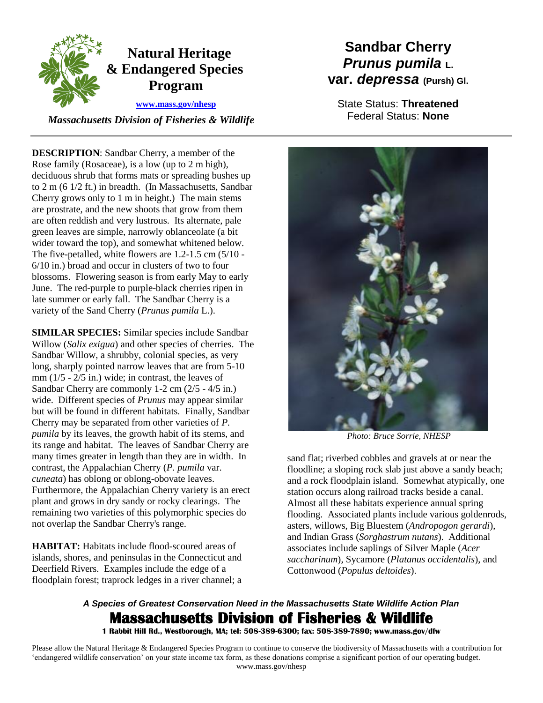

 *Massachusetts Division of Fisheries & Wildlife* 

**DESCRIPTION**: Sandbar Cherry, a member of the Rose family (Rosaceae), is a low (up to 2 m high), deciduous shrub that forms mats or spreading bushes up to 2 m (6 1/2 ft.) in breadth. (In Massachusetts, Sandbar Cherry grows only to 1 m in height.) The main stems are prostrate, and the new shoots that grow from them are often reddish and very lustrous. Its alternate, pale green leaves are simple, narrowly oblanceolate (a bit wider toward the top), and somewhat whitened below. The five-petalled, white flowers are 1.2-1.5 cm (5/10 - 6/10 in.) broad and occur in clusters of two to four blossoms. Flowering season is from early May to early June. The red-purple to purple-black cherries ripen in late summer or early fall. The Sandbar Cherry is a variety of the Sand Cherry (*Prunus pumila* L.).

**SIMILAR SPECIES:** Similar species include Sandbar Willow (*Salix exigua*) and other species of cherries. The Sandbar Willow, a shrubby, colonial species, as very long, sharply pointed narrow leaves that are from 5-10 mm (1/5 - 2/5 in.) wide; in contrast, the leaves of Sandbar Cherry are commonly 1-2 cm (2/5 - 4/5 in.) wide. Different species of *Prunus* may appear similar but will be found in different habitats. Finally, Sandbar Cherry may be separated from other varieties of *P. pumila* by its leaves, the growth habit of its stems, and its range and habitat. The leaves of Sandbar Cherry are many times greater in length than they are in width. In contrast, the Appalachian Cherry (*P. pumila* var. *cuneata*) has oblong or oblong-obovate leaves. Furthermore, the Appalachian Cherry variety is an erect plant and grows in dry sandy or rocky clearings. The remaining two varieties of this polymorphic species do not overlap the Sandbar Cherry's range.

**HABITAT:** Habitats include flood-scoured areas of islands, shores, and peninsulas in the Connecticut and Deerfield Rivers. Examples include the edge of a floodplain forest; traprock ledges in a river channel; a

## **Sandbar Cherry** *Prunus pumila* **L. var.** *depressa* **(Pursh) Gl.**

State Status: **Threatened** Federal Status: **None**



*Photo: Bruce Sorrie, NHESP* 

sand flat; riverbed cobbles and gravels at or near the floodline; a sloping rock slab just above a sandy beach; and a rock floodplain island. Somewhat atypically, one station occurs along railroad tracks beside a canal. Almost all these habitats experience annual spring flooding. Associated plants include various goldenrods, asters, willows, Big Bluestem (*Andropogon gerardi*), and Indian Grass (*Sorghastrum nutans*). Additional associates include saplings of Silver Maple (*Acer saccharinum*), Sycamore (*Platanus occidentalis*), and Cottonwood (*Populus deltoides*).

## *A Species of Greatest Conservation Need in the Massachusetts State Wildlife Action Plan*  **Massachusetts Division of Fisheries & Wildlife**

**1 Rabbit Hill Rd., Westborough, MA; tel: 508-389-6300; fax: 508-389-7890; www.mass.gov/dfw** 

Please allow the Natural Heritage & Endangered Species Program to continue to conserve the biodiversity of Massachusetts with a contribution for 'endangered wildlife conservation' on your state income tax form, as these donations comprise a significant portion of our operating budget. www.mass.gov/nhesp